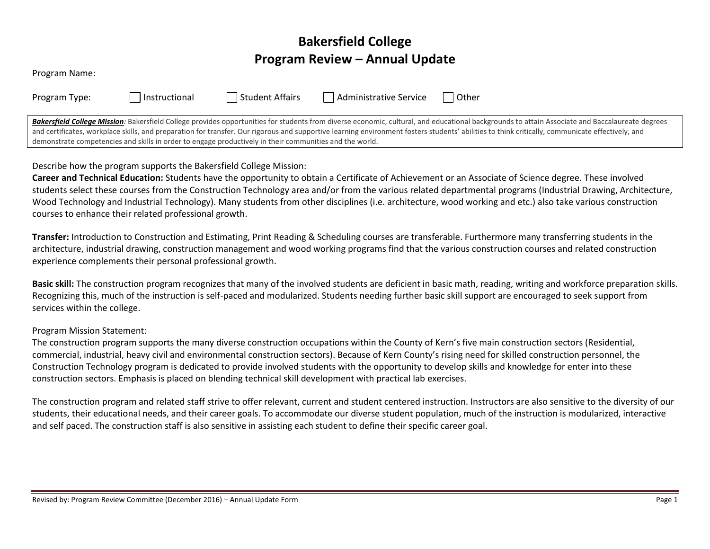# **Bakersfield College Program Review – Annual Update**

| Program Name: |               |                                                                                                         |                        |                                                                                                                                                                                                                                                                                                                                                                                                     |
|---------------|---------------|---------------------------------------------------------------------------------------------------------|------------------------|-----------------------------------------------------------------------------------------------------------------------------------------------------------------------------------------------------------------------------------------------------------------------------------------------------------------------------------------------------------------------------------------------------|
| Program Type: | Instructional | Student Affairs                                                                                         | Administrative Service | l Other                                                                                                                                                                                                                                                                                                                                                                                             |
|               |               | demonstrate competencies and skills in order to engage productively in their communities and the world. |                        | Bakersfield College Mission: Bakersfield College provides opportunities for students from diverse economic, cultural, and educational backgrounds to attain Associate and Baccalaureate degrees<br>and certificates, workplace skills, and preparation for transfer. Our rigorous and supportive learning environment fosters students' abilities to think critically, communicate effectively, and |

Describe how the program supports the Bakersfield College Mission:

**Career and Technical Education:** Students have the opportunity to obtain a Certificate of Achievement or an Associate of Science degree. These involved students select these courses from the Construction Technology area and/or from the various related departmental programs (Industrial Drawing, Architecture, Wood Technology and Industrial Technology). Many students from other disciplines (i.e. architecture, wood working and etc.) also take various construction courses to enhance their related professional growth.

**Transfer:** Introduction to Construction and Estimating, Print Reading & Scheduling courses are transferable. Furthermore many transferring students in the architecture, industrial drawing, construction management and wood working programs find that the various construction courses and related construction experience complements their personal professional growth.

**Basic skill:** The construction program recognizes that many of the involved students are deficient in basic math, reading, writing and workforce preparation skills. Recognizing this, much of the instruction is self-paced and modularized. Students needing further basic skill support are encouraged to seek support from services within the college.

## Program Mission Statement:

The construction program supports the many diverse construction occupations within the County of Kern's five main construction sectors (Residential, commercial, industrial, heavy civil and environmental construction sectors). Because of Kern County's rising need for skilled construction personnel, the Construction Technology program is dedicated to provide involved students with the opportunity to develop skills and knowledge for enter into these construction sectors. Emphasis is placed on blending technical skill development with practical lab exercises.

The construction program and related staff strive to offer relevant, current and student centered instruction. Instructors are also sensitive to the diversity of our students, their educational needs, and their career goals. To accommodate our diverse student population, much of the instruction is modularized, interactive and self paced. The construction staff is also sensitive in assisting each student to define their specific career goal.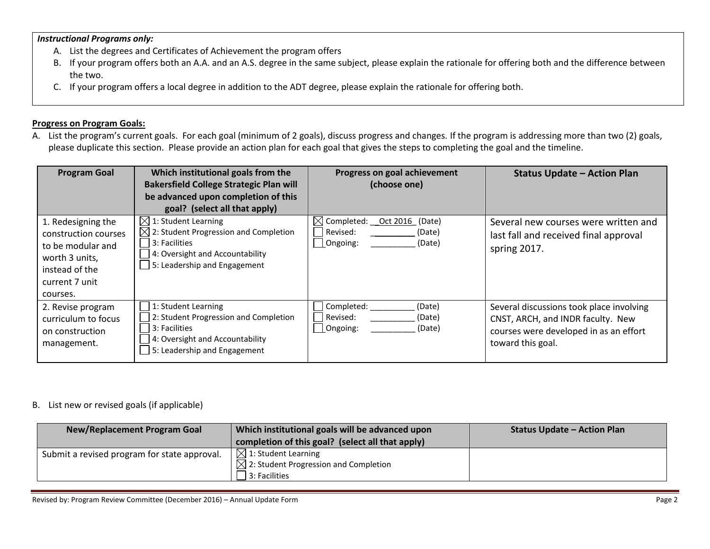#### *Instructional Programs only:*

- A. List the degrees and Certificates of Achievement the program offers
- B. If your program offers both an A.A. and an A.S. degree in the same subject, please explain the rationale for offering both and the difference between the two.
- C. If your program offers a local degree in addition to the ADT degree, please explain the rationale for offering both.

### **Progress on Program Goals:**

A. List the program's current goals. For each goal (minimum of 2 goals), discuss progress and changes. If the program is addressing more than two (2) goals, please duplicate this section. Please provide an action plan for each goal that gives the steps to completing the goal and the timeline.

| <b>Program Goal</b>                                                                                                               | Which institutional goals from the<br><b>Bakersfield College Strategic Plan will</b><br>be advanced upon completion of this<br>goal? (select all that apply)             | Progress on goal achievement<br>(choose one)                                         | <b>Status Update - Action Plan</b>                                                                                                           |
|-----------------------------------------------------------------------------------------------------------------------------------|--------------------------------------------------------------------------------------------------------------------------------------------------------------------------|--------------------------------------------------------------------------------------|----------------------------------------------------------------------------------------------------------------------------------------------|
| 1. Redesigning the<br>construction courses<br>to be modular and<br>worth 3 units,<br>instead of the<br>current 7 unit<br>courses. | $\boxtimes$ 1: Student Learning<br>$\boxtimes$ 2: Student Progression and Completion<br>3: Facilities<br>4: Oversight and Accountability<br>5: Leadership and Engagement | $\boxtimes$ Completed: __Oct 2016 (Date)<br>Revised:<br>(Date)<br>Ongoing:<br>(Date) | Several new courses were written and<br>last fall and received final approval<br>spring 2017.                                                |
| 2. Revise program<br>curriculum to focus<br>on construction<br>management.                                                        | 1: Student Learning<br>2: Student Progression and Completion<br>3: Facilities<br>4: Oversight and Accountability<br>5: Leadership and Engagement                         | Completed:<br>(Date)<br>Revised:<br>(Date)<br>Ongoing:<br>(Date)                     | Several discussions took place involving<br>CNST, ARCH, and INDR faculty. New<br>courses were developed in as an effort<br>toward this goal. |

## B. List new or revised goals (if applicable)

| <b>New/Replacement Program Goal</b>          | Which institutional goals will be advanced upon  | <b>Status Update - Action Plan</b> |
|----------------------------------------------|--------------------------------------------------|------------------------------------|
|                                              | completion of this goal? (select all that apply) |                                    |
| Submit a revised program for state approval. | $\Box$ 1: Student Learning                       |                                    |
|                                              | $\Box$ 2: Student Progression and Completion     |                                    |
|                                              | $3:$ Facilities                                  |                                    |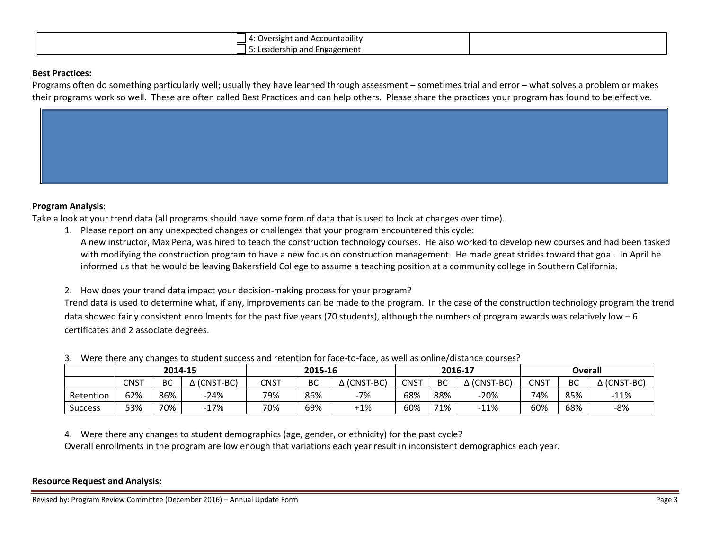|             | .<br>t and Accountability<br>Jversight |
|-------------|----------------------------------------|
| عەدە<br>cau | Engagement<br>and<br>rship             |

#### **Best Practices:**

Programs often do something particularly well; usually they have learned through assessment – sometimes trial and error – what solves a problem or makes their programs work so well. These are often called Best Practices and can help others. Please share the practices your program has found to be effective.

#### **Program Analysis**:

Take a look at your trend data (all programs should have some form of data that is used to look at changes over time).

1. Please report on any unexpected changes or challenges that your program encountered this cycle: A new instructor, Max Pena, was hired to teach the construction technology courses. He also worked to develop new courses and had been tasked with modifying the construction program to have a new focus on construction management. He made great strides toward that goal. In April he informed us that he would be leaving Bakersfield College to assume a teaching position at a community college in Southern California.

2. How does your trend data impact your decision-making process for your program?

Trend data is used to determine what, if any, improvements can be made to the program. In the case of the construction technology program the trend data showed fairly consistent enrollments for the past five years (70 students), although the numbers of program awards was relatively low - 6 certificates and 2 associate degrees.

|                | 2014-15 |     | 2015-16   |             | 2016-17   |                       |             | <b>Overall</b> |                       |             |     |                    |
|----------------|---------|-----|-----------|-------------|-----------|-----------------------|-------------|----------------|-----------------------|-------------|-----|--------------------|
|                | CNST    | BC  | (CNST-BC) | <b>CNST</b> | <b>BC</b> | $\triangle$ (CNST-BC) | <b>CNST</b> | <b>BC</b>      | $\triangle$ (CNST-BC) | <b>CNST</b> | BC  | $\Delta$ (CNST-BC) |
| Retention      | 62%     | 86% | $-24%$    | 79%         | 86%       | $-7%$                 | 68%         | 88%            | $-20%$                | 74%         | 85% | $-11%$             |
| <b>Success</b> | 53%     | 70% | $-17%$    | 70%         | 69%       | $+1\%$                | 60%         | 71%            | $-11%$                | 60%         | 68% | -8%                |

3. Were there any changes to student success and retention for face-to-face, as well as online/distance courses?

4. Were there any changes to student demographics (age, gender, or ethnicity) for the past cycle?

Overall enrollments in the program are low enough that variations each year result in inconsistent demographics each year.

#### **Resource Request and Analysis:**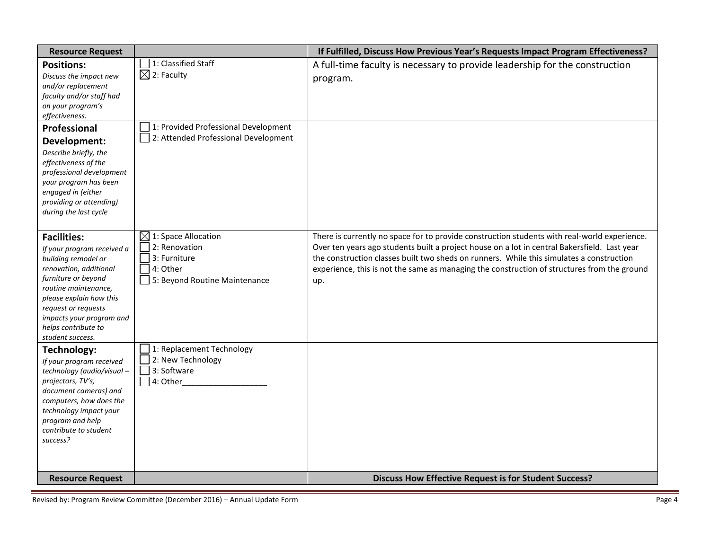| <b>Resource Request</b>                                                                                                                                                                                                                                                   |                                                                                                               | If Fulfilled, Discuss How Previous Year's Requests Impact Program Effectiveness?                                                                                                                                                                                                                                                                                                               |
|---------------------------------------------------------------------------------------------------------------------------------------------------------------------------------------------------------------------------------------------------------------------------|---------------------------------------------------------------------------------------------------------------|------------------------------------------------------------------------------------------------------------------------------------------------------------------------------------------------------------------------------------------------------------------------------------------------------------------------------------------------------------------------------------------------|
| <b>Positions:</b><br>Discuss the impact new<br>and/or replacement<br>faculty and/or staff had<br>on your program's<br>effectiveness.<br>Professional                                                                                                                      | 1: Classified Staff<br>$\boxtimes$ 2: Faculty<br>1: Provided Professional Development                         | A full-time faculty is necessary to provide leadership for the construction<br>program.                                                                                                                                                                                                                                                                                                        |
| Development:<br>Describe briefly, the<br>effectiveness of the<br>professional development<br>your program has been<br>engaged in (either<br>providing or attending)<br>during the last cycle                                                                              | 2: Attended Professional Development                                                                          |                                                                                                                                                                                                                                                                                                                                                                                                |
| <b>Facilities:</b><br>If your program received a<br>building remodel or<br>renovation, additional<br>furniture or beyond<br>routine maintenance,<br>please explain how this<br>request or requests<br>impacts your program and<br>helps contribute to<br>student success. | $\boxtimes$ 1: Space Allocation<br>2: Renovation<br>3: Furniture<br>4: Other<br>5: Beyond Routine Maintenance | There is currently no space for to provide construction students with real-world experience.<br>Over ten years ago students built a project house on a lot in central Bakersfield. Last year<br>the construction classes built two sheds on runners. While this simulates a construction<br>experience, this is not the same as managing the construction of structures from the ground<br>up. |
| <b>Technology:</b><br>If your program received<br>technology (audio/visual-<br>projectors, TV's,<br>document cameras) and<br>computers, how does the<br>technology impact your<br>program and help<br>contribute to student<br>success?                                   | 1: Replacement Technology<br>2: New Technology<br>3: Software<br>$\Box$ 4: Other                              |                                                                                                                                                                                                                                                                                                                                                                                                |
| <b>Resource Request</b>                                                                                                                                                                                                                                                   |                                                                                                               | <b>Discuss How Effective Request is for Student Success?</b>                                                                                                                                                                                                                                                                                                                                   |